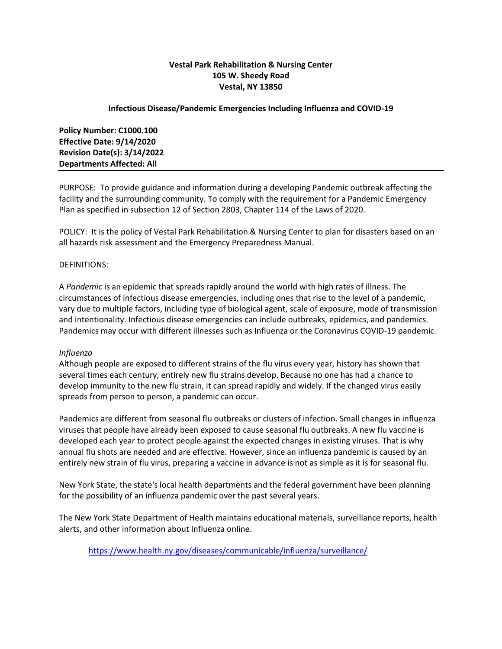# **Vestal Park Rehabilitation & Nursing Center 105 W. Sheedy Road Vestal, NY 13850**

# **Infectious Disease/Pandemic Emergencies Including Influenza and COVID-19**

**Policy Number: C1000.100 Effective Date: 9/14/2020 Revision Date(s): 3/14/2022 Departments Affected: All**

PURPOSE: To provide guidance and information during a developing Pandemic outbreak affecting the facility and the surrounding community. To comply with the requirement for a Pandemic Emergency Plan as specified in subsection 12 of Section 2803, Chapter 114 of the Laws of 2020.

POLICY: It is the policy of Vestal Park Rehabilitation & Nursing Center to plan for disasters based on an all hazards risk assessment and the Emergency Preparedness Manual.

### DEFINITIONS:

A *Pandemic* is an epidemic that spreads rapidly around the world with high rates of illness. The circumstances of infectious disease emergencies, including ones that rise to the level of a pandemic, vary due to multiple factors, including type of biological agent, scale of exposure, mode of transmission and intentionality. Infectious disease emergencies can include outbreaks, epidemics, and pandemics. Pandemics may occur with different illnesses such as Influenza or the Coronavirus COVID-19 pandemic.

#### *Influenza*

Although people are exposed to different strains of the flu virus every year, history has shown that several times each century, entirely new flu strains develop. Because no one has had a chance to develop immunity to the new flu strain, it can spread rapidly and widely. If the changed virus easily spreads from person to person, a pandemic can occur.

Pandemics are different from seasonal flu outbreaks or clusters of infection. Small changes in influenza viruses that people have already been exposed to cause seasonal flu outbreaks. A new flu vaccine is developed each year to protect people against the expected changes in existing viruses. [That is why](https://www.health.ny.gov/diseases/communicable/influenza/seasonal/)  [annual flu shots are needed and are effective.](https://www.health.ny.gov/diseases/communicable/influenza/seasonal/) However, since an influenza pandemic is caused by an entirely new strain of flu virus, preparing a vaccine in advance is not as simple as it is for seasonal flu.

New York State, the state's local health departments and the federal government have been planning for the possibility of an influenza pandemic over the past several years.

The New York State Department of Health maintains educational materials, surveillance reports, health alerts, and other information about Influenza online.

<https://www.health.ny.gov/diseases/communicable/influenza/surveillance/>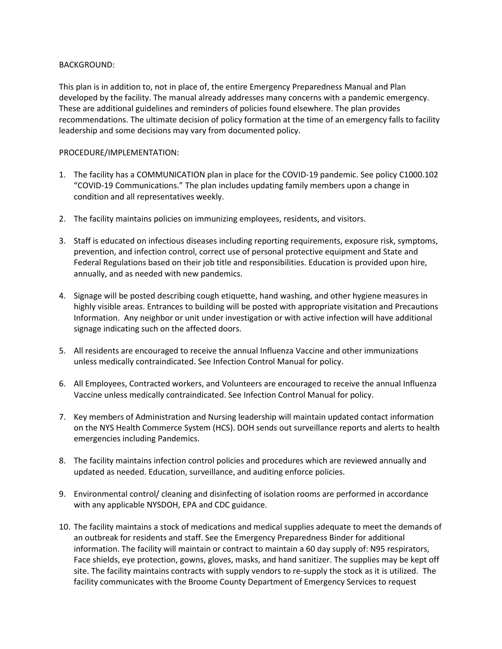# BACKGROUND:

This plan is in addition to, not in place of, the entire Emergency Preparedness Manual and Plan developed by the facility. The manual already addresses many concerns with a pandemic emergency. These are additional guidelines and reminders of policies found elsewhere. The plan provides recommendations. The ultimate decision of policy formation at the time of an emergency falls to facility leadership and some decisions may vary from documented policy.

### PROCEDURE/IMPLEMENTATION:

- 1. The facility has a COMMUNICATION plan in place for the COVID-19 pandemic. See policy C1000.102 "COVID-19 Communications." The plan includes updating family members upon a change in condition and all representatives weekly.
- 2. The facility maintains policies on immunizing employees, residents, and visitors.
- 3. Staff is educated on infectious diseases including reporting requirements, exposure risk, symptoms, prevention, and infection control, correct use of personal protective equipment and State and Federal Regulations based on their job title and responsibilities. Education is provided upon hire, annually, and as needed with new pandemics.
- 4. Signage will be posted describing cough etiquette, hand washing, and other hygiene measures in highly visible areas. Entrances to building will be posted with appropriate visitation and Precautions Information. Any neighbor or unit under investigation or with active infection will have additional signage indicating such on the affected doors.
- 5. All residents are encouraged to receive the annual Influenza Vaccine and other immunizations unless medically contraindicated. See Infection Control Manual for policy.
- 6. All Employees, Contracted workers, and Volunteers are encouraged to receive the annual Influenza Vaccine unless medically contraindicated. See Infection Control Manual for policy.
- 7. Key members of Administration and Nursing leadership will maintain updated contact information on the NYS Health Commerce System (HCS). DOH sends out surveillance reports and alerts to health emergencies including Pandemics.
- 8. The facility maintains infection control policies and procedures which are reviewed annually and updated as needed. Education, surveillance, and auditing enforce policies.
- 9. Environmental control/ cleaning and disinfecting of isolation rooms are performed in accordance with any applicable NYSDOH, EPA and CDC guidance.
- 10. The facility maintains a stock of medications and medical supplies adequate to meet the demands of an outbreak for residents and staff. See the Emergency Preparedness Binder for additional information. The facility will maintain or contract to maintain a 60 day supply of: N95 respirators, Face shields, eye protection, gowns, gloves, masks, and hand sanitizer. The supplies may be kept off site. The facility maintains contracts with supply vendors to re-supply the stock as it is utilized. The facility communicates with the Broome County Department of Emergency Services to request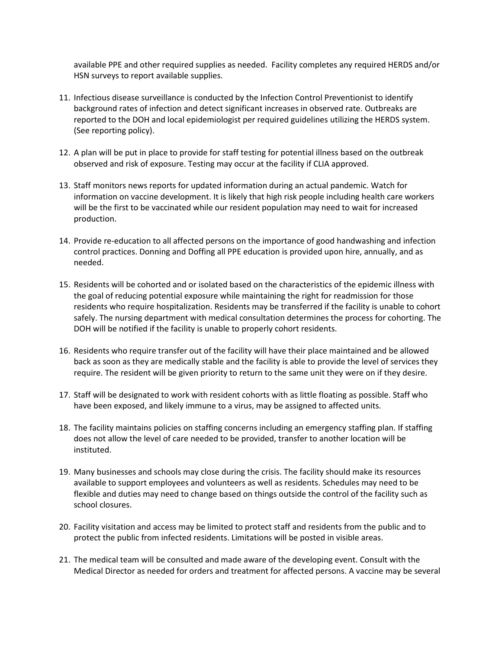available PPE and other required supplies as needed. Facility completes any required HERDS and/or HSN surveys to report available supplies.

- 11. Infectious disease surveillance is conducted by the Infection Control Preventionist to identify background rates of infection and detect significant increases in observed rate. Outbreaks are reported to the DOH and local epidemiologist per required guidelines utilizing the HERDS system. (See reporting policy).
- 12. A plan will be put in place to provide for staff testing for potential illness based on the outbreak observed and risk of exposure. Testing may occur at the facility if CLIA approved.
- 13. Staff monitors news reports for updated information during an actual pandemic. Watch for information on vaccine development. It is likely that high risk people including health care workers will be the first to be vaccinated while our resident population may need to wait for increased production.
- 14. Provide re-education to all affected persons on the importance of good handwashing and infection control practices. Donning and Doffing all PPE education is provided upon hire, annually, and as needed.
- 15. Residents will be cohorted and or isolated based on the characteristics of the epidemic illness with the goal of reducing potential exposure while maintaining the right for readmission for those residents who require hospitalization. Residents may be transferred if the facility is unable to cohort safely. The nursing department with medical consultation determines the process for cohorting. The DOH will be notified if the facility is unable to properly cohort residents.
- 16. Residents who require transfer out of the facility will have their place maintained and be allowed back as soon as they are medically stable and the facility is able to provide the level of services they require. The resident will be given priority to return to the same unit they were on if they desire.
- 17. Staff will be designated to work with resident cohorts with as little floating as possible. Staff who have been exposed, and likely immune to a virus, may be assigned to affected units.
- 18. The facility maintains policies on staffing concerns including an emergency staffing plan. If staffing does not allow the level of care needed to be provided, transfer to another location will be instituted.
- 19. Many businesses and schools may close during the crisis. The facility should make its resources available to support employees and volunteers as well as residents. Schedules may need to be flexible and duties may need to change based on things outside the control of the facility such as school closures.
- 20. Facility visitation and access may be limited to protect staff and residents from the public and to protect the public from infected residents. Limitations will be posted in visible areas.
- 21. The medical team will be consulted and made aware of the developing event. Consult with the Medical Director as needed for orders and treatment for affected persons. A vaccine may be several